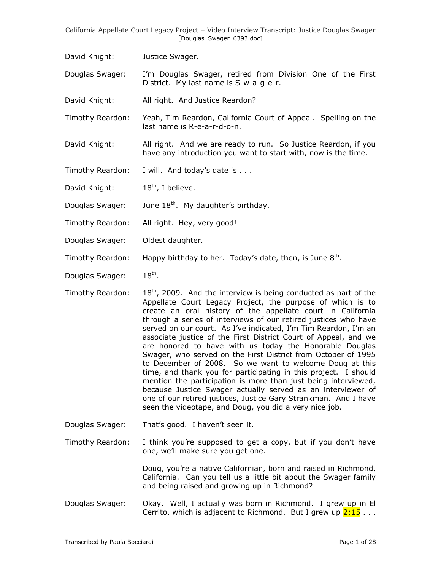- David Knight: Justice Swager.
- Douglas Swager: I"m Douglas Swager, retired from Division One of the First District. My last name is S-w-a-g-e-r.
- David Knight: All right. And Justice Reardon?
- Timothy Reardon: Yeah, Tim Reardon, California Court of Appeal. Spelling on the last name is R-e-a-r-d-o-n.
- David Knight: All right. And we are ready to run. So Justice Reardon, if you have any introduction you want to start with, now is the time.
- Timothy Reardon: I will. And today's date is . . .
- David Knight: 18<sup>th</sup>, I believe.
- Douglas Swager: June 18<sup>th</sup>. My daughter's birthday.
- Timothy Reardon: All right. Hey, very good!
- Douglas Swager: Oldest daughter.
- Timothy Reardon: Happy birthday to her. Today's date, then, is June 8<sup>th</sup>.
- Douglas Swager:  $18<sup>th</sup>$ .
- Timothy Reardon:  $18<sup>th</sup>$ , 2009. And the interview is being conducted as part of the Appellate Court Legacy Project, the purpose of which is to create an oral history of the appellate court in California through a series of interviews of our retired justices who have served on our court. As I've indicated, I'm Tim Reardon, I'm an associate justice of the First District Court of Appeal, and we are honored to have with us today the Honorable Douglas Swager, who served on the First District from October of 1995 to December of 2008. So we want to welcome Doug at this time, and thank you for participating in this project. I should mention the participation is more than just being interviewed, because Justice Swager actually served as an interviewer of one of our retired justices, Justice Gary Strankman. And I have seen the videotape, and Doug, you did a very nice job.
- Douglas Swager: That's good. I haven't seen it.
- Timothy Reardon: I think you're supposed to get a copy, but if you don't have one, we"ll make sure you get one.

Doug, you"re a native Californian, born and raised in Richmond, California. Can you tell us a little bit about the Swager family and being raised and growing up in Richmond?

Douglas Swager: Okay. Well, I actually was born in Richmond. I grew up in El Cerrito, which is adjacent to Richmond. But I grew up  $2:15...$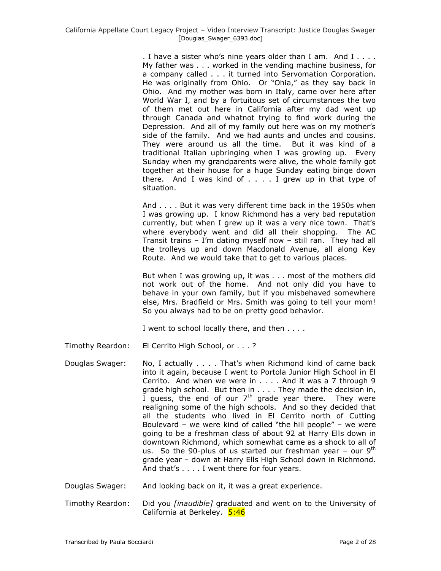. I have a sister who"s nine years older than I am. And I . . . . My father was . . . worked in the vending machine business, for a company called . . . it turned into Servomation Corporation. He was originally from Ohio. Or "Ohia," as they say back in Ohio. And my mother was born in Italy, came over here after World War I, and by a fortuitous set of circumstances the two of them met out here in California after my dad went up through Canada and whatnot trying to find work during the Depression. And all of my family out here was on my mother"s side of the family. And we had aunts and uncles and cousins. They were around us all the time. But it was kind of a traditional Italian upbringing when I was growing up. Every Sunday when my grandparents were alive, the whole family got together at their house for a huge Sunday eating binge down there. And I was kind of . . . . I grew up in that type of situation.

And . . . . But it was very different time back in the 1950s when I was growing up. I know Richmond has a very bad reputation currently, but when I grew up it was a very nice town. That's where everybody went and did all their shopping. The AC Transit trains – I"m dating myself now – still ran. They had all the trolleys up and down Macdonald Avenue, all along Key Route. And we would take that to get to various places.

But when I was growing up, it was . . . most of the mothers did not work out of the home. And not only did you have to behave in your own family, but if you misbehaved somewhere else, Mrs. Bradfield or Mrs. Smith was going to tell your mom! So you always had to be on pretty good behavior.

I went to school locally there, and then . . . .

- Timothy Reardon: El Cerrito High School, or . . . ?
- Douglas Swager: No, I actually . . . . That"s when Richmond kind of came back into it again, because I went to Portola Junior High School in El Cerrito. And when we were in . . . . And it was a 7 through 9 grade high school. But then in . . . . They made the decision in,  $\overline{I}$  guess, the end of our  $7<sup>th</sup>$  grade year there. They were realigning some of the high schools. And so they decided that all the students who lived in El Cerrito north of Cutting Boulevard – we were kind of called "the hill people" – we were going to be a freshman class of about 92 at Harry Ells down in downtown Richmond, which somewhat came as a shock to all of us. So the 90-plus of us started our freshman year  $-$  our 9<sup>th</sup> grade year – down at Harry Ells High School down in Richmond. And that's . . . . I went there for four years.

Douglas Swager: And looking back on it, it was a great experience.

Timothy Reardon: Did you *[inaudible]* graduated and went on to the University of California at Berkeley. 5:46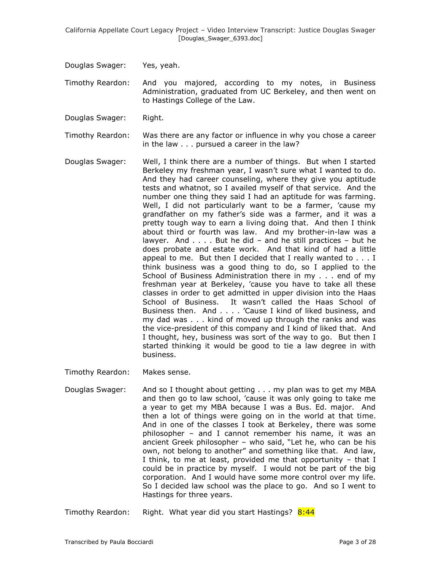Douglas Swager: Yes, yeah.

Timothy Reardon: And you majored, according to my notes, in Business Administration, graduated from UC Berkeley, and then went on to Hastings College of the Law.

Douglas Swager: Right.

Timothy Reardon: Was there are any factor or influence in why you chose a career in the law . . . pursued a career in the law?

Douglas Swager: Well, I think there are a number of things. But when I started Berkeley my freshman year, I wasn't sure what I wanted to do. And they had career counseling, where they give you aptitude tests and whatnot, so I availed myself of that service. And the number one thing they said I had an aptitude for was farming. Well, I did not particularly want to be a farmer, 'cause my grandfather on my father"s side was a farmer, and it was a pretty tough way to earn a living doing that. And then I think about third or fourth was law. And my brother-in-law was a lawyer. And . . . . But he did – and he still practices – but he does probate and estate work. And that kind of had a little appeal to me. But then I decided that I really wanted to . . . I think business was a good thing to do, so I applied to the School of Business Administration there in my . . . end of my freshman year at Berkeley, "cause you have to take all these classes in order to get admitted in upper division into the Haas School of Business. It wasn"t called the Haas School of Business then. And . . . . "Cause I kind of liked business, and my dad was . . . kind of moved up through the ranks and was the vice-president of this company and I kind of liked that. And I thought, hey, business was sort of the way to go. But then I started thinking it would be good to tie a law degree in with business.

Timothy Reardon: Makes sense.

Douglas Swager: And so I thought about getting . . . my plan was to get my MBA and then go to law school, "cause it was only going to take me a year to get my MBA because I was a Bus. Ed. major. And then a lot of things were going on in the world at that time. And in one of the classes I took at Berkeley, there was some philosopher – and I cannot remember his name, it was an ancient Greek philosopher – who said, "Let he, who can be his own, not belong to another" and something like that. And law, I think, to me at least, provided me that opportunity – that I could be in practice by myself. I would not be part of the big corporation. And I would have some more control over my life. So I decided law school was the place to go. And so I went to Hastings for three years.

Timothy Reardon: Right. What year did you start Hastings? 8:44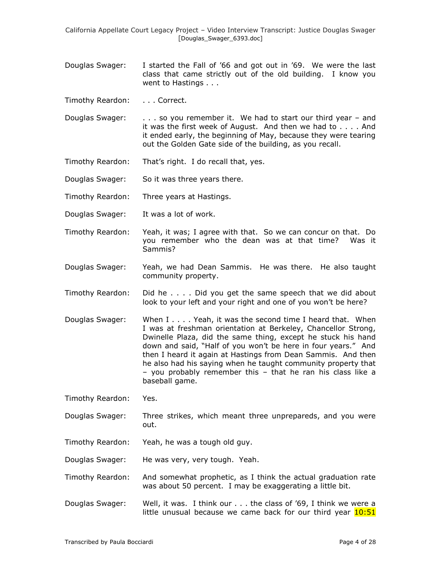- Douglas Swager: I started the Fall of "66 and got out in "69. We were the last class that came strictly out of the old building. I know you went to Hastings . . .
- Timothy Reardon: . . . Correct.
- Douglas Swager: . . . . so you remember it. We had to start our third year and it was the first week of August. And then we had to . . . . And it ended early, the beginning of May, because they were tearing out the Golden Gate side of the building, as you recall.
- Timothy Reardon: That"s right. I do recall that, yes.
- Douglas Swager: So it was three years there.
- Timothy Reardon: Three years at Hastings.
- Douglas Swager: It was a lot of work.
- Timothy Reardon: Yeah, it was; I agree with that. So we can concur on that. Do you remember who the dean was at that time? Was it Sammis?
- Douglas Swager: Yeah, we had Dean Sammis. He was there. He also taught community property.
- Timothy Reardon: Did he . . . . Did you get the same speech that we did about look to your left and your right and one of you won't be here?
- Douglas Swager: When I . . . . Yeah, it was the second time I heard that. When I was at freshman orientation at Berkeley, Chancellor Strong, Dwinelle Plaza, did the same thing, except he stuck his hand down and said, "Half of you won"t be here in four years." And then I heard it again at Hastings from Dean Sammis. And then he also had his saying when he taught community property that – you probably remember this – that he ran his class like a baseball game.
- Timothy Reardon: Yes.
- Douglas Swager: Three strikes, which meant three unprepareds, and you were out.
- Timothy Reardon: Yeah, he was a tough old guy.
- Douglas Swager: He was very, very tough. Yeah.
- Timothy Reardon: And somewhat prophetic, as I think the actual graduation rate was about 50 percent. I may be exaggerating a little bit.
- Douglas Swager: Well, it was. I think our . . . the class of "69, I think we were a little unusual because we came back for our third year  $10:51$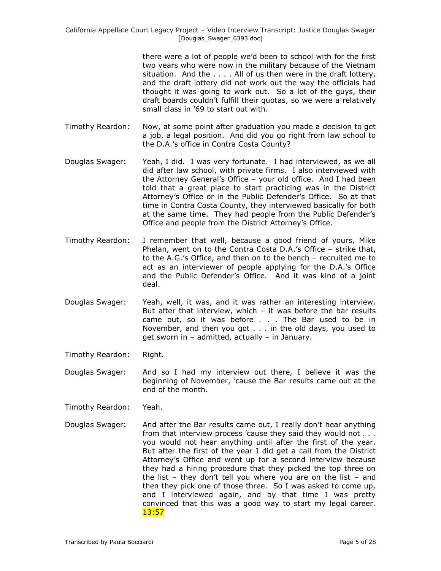there were a lot of people we"d been to school with for the first two years who were now in the military because of the Vietnam situation. And the . . . . All of us then were in the draft lottery, and the draft lottery did not work out the way the officials had thought it was going to work out. So a lot of the guys, their draft boards couldn"t fulfill their quotas, so we were a relatively small class in "69 to start out with.

- Timothy Reardon: Now, at some point after graduation you made a decision to get a job, a legal position. And did you go right from law school to the D.A."s office in Contra Costa County?
- Douglas Swager: Yeah, I did. I was very fortunate. I had interviewed, as we all did after law school, with private firms. I also interviewed with the Attorney General"s Office – your old office. And I had been told that a great place to start practicing was in the District Attorney"s Office or in the Public Defender"s Office. So at that time in Contra Costa County, they interviewed basically for both at the same time. They had people from the Public Defender"s Office and people from the District Attorney"s Office.
- Timothy Reardon: I remember that well, because a good friend of yours, Mike Phelan, went on to the Contra Costa D.A.'s Office - strike that, to the A.G."s Office, and then on to the bench – recruited me to act as an interviewer of people applying for the D.A."s Office and the Public Defender"s Office. And it was kind of a joint deal.
- Douglas Swager: Yeah, well, it was, and it was rather an interesting interview. But after that interview, which  $-$  it was before the bar results came out, so it was before . . . The Bar used to be in November, and then you got . . . in the old days, you used to get sworn in – admitted, actually – in January.
- Timothy Reardon: Right.
- Douglas Swager: And so I had my interview out there, I believe it was the beginning of November, "cause the Bar results came out at the end of the month.
- Timothy Reardon: Yeah.
- Douglas Swager: And after the Bar results came out, I really don"t hear anything from that interview process "cause they said they would not . . . you would not hear anything until after the first of the year. But after the first of the year I did get a call from the District Attorney"s Office and went up for a second interview because they had a hiring procedure that they picked the top three on the list – they don't tell you where you are on the list – and then they pick one of those three. So I was asked to come up, and I interviewed again, and by that time I was pretty convinced that this was a good way to start my legal career. 13:57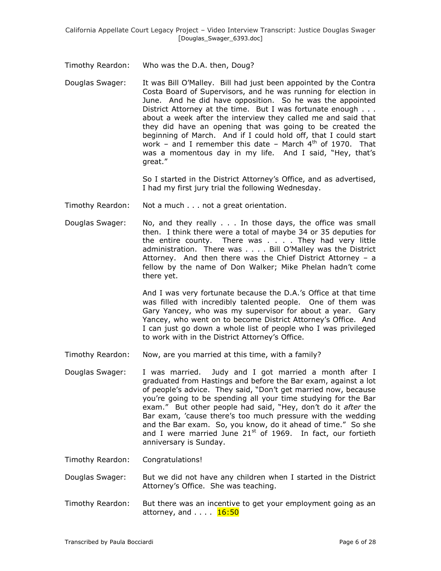Timothy Reardon: Who was the D.A. then, Doug?

Douglas Swager: It was Bill O"Malley. Bill had just been appointed by the Contra Costa Board of Supervisors, and he was running for election in June. And he did have opposition. So he was the appointed District Attorney at the time. But I was fortunate enough . . . about a week after the interview they called me and said that they did have an opening that was going to be created the beginning of March. And if I could hold off, that I could start work – and I remember this date – March  $4<sup>th</sup>$  of 1970. That was a momentous day in my life. And I said, "Hey, that's great."

> So I started in the District Attorney"s Office, and as advertised, I had my first jury trial the following Wednesday.

- Timothy Reardon: Not a much . . . not a great orientation.
- Douglas Swager: No, and they really . . . In those days, the office was small then. I think there were a total of maybe 34 or 35 deputies for the entire county. There was . . . . They had very little administration. There was . . . . Bill O"Malley was the District Attorney. And then there was the Chief District Attorney – a fellow by the name of Don Walker; Mike Phelan hadn't come there yet.

And I was very fortunate because the D.A."s Office at that time was filled with incredibly talented people. One of them was Gary Yancey, who was my supervisor for about a year. Gary Yancey, who went on to become District Attorney"s Office. And I can just go down a whole list of people who I was privileged to work with in the District Attorney's Office.

- Timothy Reardon: Now, are you married at this time, with a family?
- Douglas Swager: I was married. Judy and I got married a month after I graduated from Hastings and before the Bar exam, against a lot of people"s advice. They said, "Don"t get married now, because you"re going to be spending all your time studying for the Bar exam." But other people had said, "Hey, don"t do it *after* the Bar exam, 'cause there's too much pressure with the wedding and the Bar exam. So, you know, do it ahead of time." So she and I were married June  $21^{st}$  of 1969. In fact, our fortieth anniversary is Sunday.

Timothy Reardon: Congratulations!

- Douglas Swager: But we did not have any children when I started in the District Attorney"s Office. She was teaching.
- Timothy Reardon: But there was an incentive to get your employment going as an attorney, and . . . . 16:50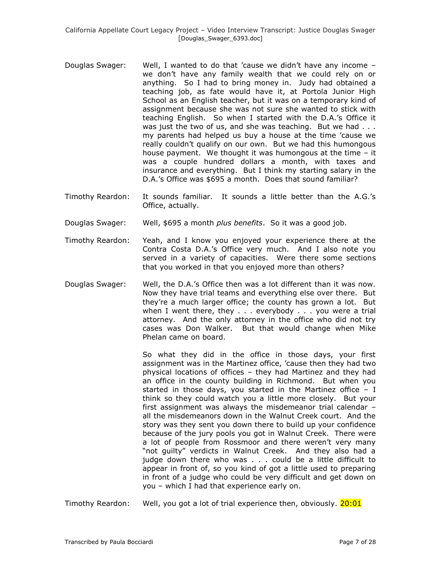- Douglas Swager: Well, I wanted to do that "cause we didn"t have any income we don"t have any family wealth that we could rely on or anything. So I had to bring money in. Judy had obtained a teaching job, as fate would have it, at Portola Junior High School as an English teacher, but it was on a temporary kind of assignment because she was not sure she wanted to stick with teaching English. So when I started with the D.A."s Office it was just the two of us, and she was teaching. But we had . . . my parents had helped us buy a house at the time "cause we really couldn't qualify on our own. But we had this humongous house payment. We thought it was humongous at the time – it was a couple hundred dollars a month, with taxes and insurance and everything. But I think my starting salary in the D.A."s Office was \$695 a month. Does that sound familiar?
- Timothy Reardon: It sounds familiar. It sounds a little better than the A.G."s Office, actually.
- Douglas Swager: Well, \$695 a month *plus benefits*. So it was a good job.
- Timothy Reardon: Yeah, and I know you enjoyed your experience there at the Contra Costa D.A."s Office very much. And I also note you served in a variety of capacities. Were there some sections that you worked in that you enjoyed more than others?
- Douglas Swager: Well, the D.A."s Office then was a lot different than it was now. Now they have trial teams and everything else over there. But they"re a much larger office; the county has grown a lot. But when I went there, they . . . everybody . . . you were a trial attorney. And the only attorney in the office who did not try cases was Don Walker. But that would change when Mike Phelan came on board.

So what they did in the office in those days, your first assignment was in the Martinez office, "cause then they had two physical locations of offices – they had Martinez and they had an office in the county building in Richmond. But when you started in those days, you started in the Martinez office  $- I$ think so they could watch you a little more closely. But your first assignment was always the misdemeanor trial calendar – all the misdemeanors down in the Walnut Creek court. And the story was they sent you down there to build up your confidence because of the jury pools you got in Walnut Creek. There were a lot of people from Rossmoor and there weren't very many "not guilty" verdicts in Walnut Creek. And they also had a judge down there who was . . . could be a little difficult to appear in front of, so you kind of got a little used to preparing in front of a judge who could be very difficult and get down on you – which I had that experience early on.

Timothy Reardon: Well, you got a lot of trial experience then, obviously. 20:01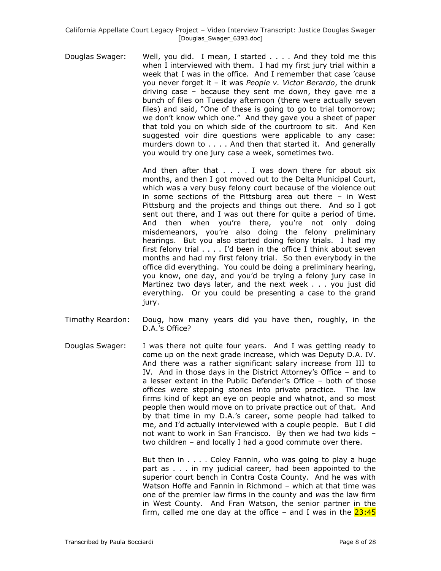Douglas Swager: Well, you did. I mean, I started . . . . And they told me this when I interviewed with them. I had my first jury trial within a week that I was in the office. And I remember that case "cause you never forget it – it was *People v. Victor Berardo*, the drunk driving case – because they sent me down, they gave me a bunch of files on Tuesday afternoon (there were actually seven files) and said, "One of these is going to go to trial tomorrow; we don"t know which one." And they gave you a sheet of paper that told you on which side of the courtroom to sit. And Ken suggested voir dire questions were applicable to any case: murders down to . . . . And then that started it. And generally you would try one jury case a week, sometimes two.

> And then after that . . . . I was down there for about six months, and then I got moved out to the Delta Municipal Court, which was a very busy felony court because of the violence out in some sections of the Pittsburg area out there – in West Pittsburg and the projects and things out there. And so I got sent out there, and I was out there for quite a period of time. And then when you"re there, you"re not only doing misdemeanors, you"re also doing the felony preliminary hearings. But you also started doing felony trials. I had my first felony trial . . . . I"d been in the office I think about seven months and had my first felony trial. So then everybody in the office did everything. You could be doing a preliminary hearing, you know, one day, and you"d be trying a felony jury case in Martinez two days later, and the next week . . . you just did everything. Or you could be presenting a case to the grand jury.

- Timothy Reardon: Doug, how many years did you have then, roughly, in the D.A.'s Office?
- Douglas Swager: I was there not quite four years. And I was getting ready to come up on the next grade increase, which was Deputy D.A. IV. And there was a rather significant salary increase from III to IV. And in those days in the District Attorney"s Office – and to a lesser extent in the Public Defender"s Office – both of those offices were stepping stones into private practice. The law firms kind of kept an eye on people and whatnot, and so most people then would move on to private practice out of that. And by that time in my D.A."s career, some people had talked to me, and I"d actually interviewed with a couple people. But I did not want to work in San Francisco. By then we had two kids – two children – and locally I had a good commute over there.

But then in . . . . Coley Fannin, who was going to play a huge part as . . . in my judicial career, had been appointed to the superior court bench in Contra Costa County. And he was with Watson Hoffe and Fannin in Richmond – which at that time was one of the premier law firms in the county and *was* the law firm in West County. And Fran Watson, the senior partner in the firm, called me one day at the office  $-$  and I was in the  $23:45$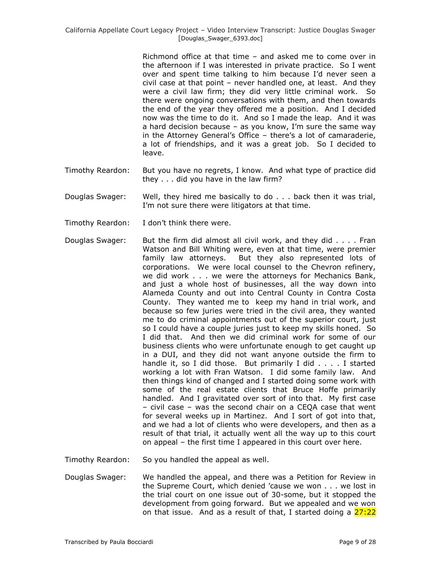Richmond office at that time – and asked me to come over in the afternoon if I was interested in private practice. So I went over and spent time talking to him because I"d never seen a civil case at that point – never handled one, at least. And they were a civil law firm; they did very little criminal work. So there were ongoing conversations with them, and then towards the end of the year they offered me a position. And I decided now was the time to do it. And so I made the leap. And it was a hard decision because  $-$  as you know, I'm sure the same way in the Attorney General"s Office – there"s a lot of camaraderie, a lot of friendships, and it was a great job. So I decided to leave.

- Timothy Reardon: But you have no regrets, I know. And what type of practice did they . . . did you have in the law firm?
- Douglas Swager: Well, they hired me basically to do . . . back then it was trial, I'm not sure there were litigators at that time.
- Timothy Reardon: I don"t think there were.
- Douglas Swager: But the firm did almost all civil work, and they did . . . . Fran Watson and Bill Whiting were, even at that time, were premier family law attorneys. But they also represented lots of corporations. We were local counsel to the Chevron refinery, we did work . . . we were the attorneys for Mechanics Bank, and just a whole host of businesses, all the way down into Alameda County and out into Central County in Contra Costa County. They wanted me to keep my hand in trial work, and because so few juries were tried in the civil area, they wanted me to do criminal appointments out of the superior court, just so I could have a couple juries just to keep my skills honed. So I did that. And then we did criminal work for some of our business clients who were unfortunate enough to get caught up in a DUI, and they did not want anyone outside the firm to handle it, so I did those. But primarily I did . . . . I started working a lot with Fran Watson. I did some family law. And then things kind of changed and I started doing some work with some of the real estate clients that Bruce Hoffe primarily handled. And I gravitated over sort of into that. My first case – civil case – was the second chair on a CEQA case that went for several weeks up in Martinez. And I sort of got into that, and we had a lot of clients who were developers, and then as a result of that trial, it actually went all the way up to this court on appeal – the first time I appeared in this court over here.
- Timothy Reardon: So you handled the appeal as well.
- Douglas Swager: We handled the appeal, and there was a Petition for Review in the Supreme Court, which denied "cause we won . . . we lost in the trial court on one issue out of 30-some, but it stopped the development from going forward. But we appealed and we won on that issue. And as a result of that, I started doing a  $27:22$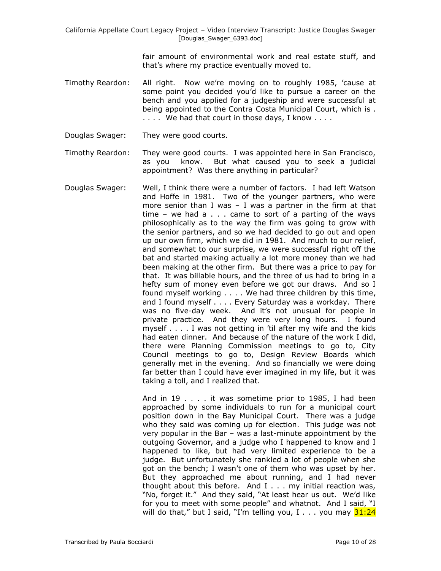fair amount of environmental work and real estate stuff, and that"s where my practice eventually moved to.

- Timothy Reardon: All right. Now we"re moving on to roughly 1985, "cause at some point you decided you"d like to pursue a career on the bench and you applied for a judgeship and were successful at being appointed to the Contra Costa Municipal Court, which is . .... We had that court in those days, I know ....
- Douglas Swager: They were good courts.
- Timothy Reardon: They were good courts. I was appointed here in San Francisco, as you know. But what caused you to seek a judicial appointment? Was there anything in particular?
- Douglas Swager: Well, I think there were a number of factors. I had left Watson and Hoffe in 1981. Two of the younger partners, who were more senior than I was  $-$  I was a partner in the firm at that time  $-$  we had a  $\ldots$  came to sort of a parting of the ways philosophically as to the way the firm was going to grow with the senior partners, and so we had decided to go out and open up our own firm, which we did in 1981. And much to our relief, and somewhat to our surprise, we were successful right off the bat and started making actually a lot more money than we had been making at the other firm. But there was a price to pay for that. It was billable hours, and the three of us had to bring in a hefty sum of money even before we got our draws. And so I found myself working . . . . We had three children by this time, and I found myself . . . . Every Saturday was a workday. There was no five-day week. And it's not unusual for people in private practice. And they were very long hours. I found myself . . . . I was not getting in "til after my wife and the kids had eaten dinner. And because of the nature of the work I did, there were Planning Commission meetings to go to, City Council meetings to go to, Design Review Boards which generally met in the evening. And so financially we were doing far better than I could have ever imagined in my life, but it was taking a toll, and I realized that.

And in 19 . . . . it was sometime prior to 1985, I had been approached by some individuals to run for a municipal court position down in the Bay Municipal Court. There was a judge who they said was coming up for election. This judge was not very popular in the Bar – was a last-minute appointment by the outgoing Governor, and a judge who I happened to know and I happened to like, but had very limited experience to be a judge. But unfortunately she rankled a lot of people when she got on the bench; I wasn't one of them who was upset by her. But they approached me about running, and I had never thought about this before. And I . . . my initial reaction was, "No, forget it." And they said, "At least hear us out. We"d like for you to meet with some people" and whatnot. And I said, "I will do that," but I said, "I'm telling you, I  $\ldots$  you may  $31:24$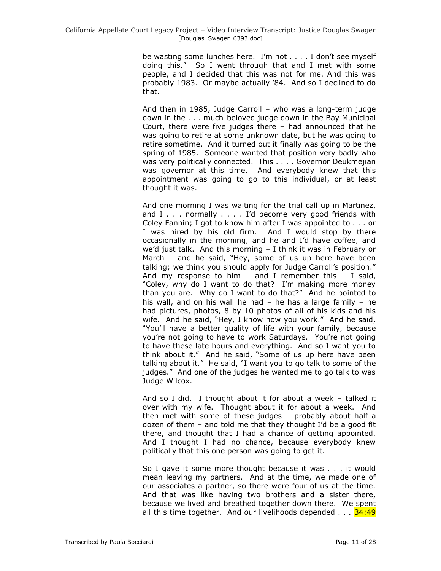be wasting some lunches here. I"m not . . . . I don"t see myself doing this." So I went through that and I met with some people, and I decided that this was not for me. And this was probably 1983. Or maybe actually "84. And so I declined to do that.

And then in 1985, Judge Carroll – who was a long-term judge down in the . . . much-beloved judge down in the Bay Municipal Court, there were five judges there – had announced that he was going to retire at some unknown date, but he was going to retire sometime. And it turned out it finally was going to be the spring of 1985. Someone wanted that position very badly who was very politically connected. This . . . . Governor Deukmeiian was governor at this time. And everybody knew that this appointment was going to go to this individual, or at least thought it was.

And one morning I was waiting for the trial call up in Martinez, and I . . . normally . . . . I'd become very good friends with Coley Fannin; I got to know him after I was appointed to . . . or I was hired by his old firm. And I would stop by there occasionally in the morning, and he and I"d have coffee, and we'd just talk. And this morning  $-$  I think it was in February or March – and he said, "Hey, some of us up here have been talking; we think you should apply for Judge Carroll's position." And my response to him  $-$  and I remember this  $-$  I said, "Coley, why do I want to do that? I"m making more money than you are. Why do I want to do that?" And he pointed to his wall, and on his wall he had – he has a large family – he had pictures, photos, 8 by 10 photos of all of his kids and his wife. And he said, "Hey, I know how you work." And he said, "You"ll have a better quality of life with your family, because you"re not going to have to work Saturdays. You"re not going to have these late hours and everything. And so I want you to think about it." And he said, "Some of us up here have been talking about it." He said, "I want you to go talk to some of the judges." And one of the judges he wanted me to go talk to was Judge Wilcox.

And so I did. I thought about it for about a week – talked it over with my wife. Thought about it for about a week. And then met with some of these judges – probably about half a dozen of them – and told me that they thought I"d be a good fit there, and thought that I had a chance of getting appointed. And I thought I had no chance, because everybody knew politically that this one person was going to get it.

So I gave it some more thought because it was . . . it would mean leaving my partners. And at the time, we made one of our associates a partner, so there were four of us at the time. And that was like having two brothers and a sister there, because we lived and breathed together down there. We spent all this time together. And our livelihoods depended  $\ldots$  34:49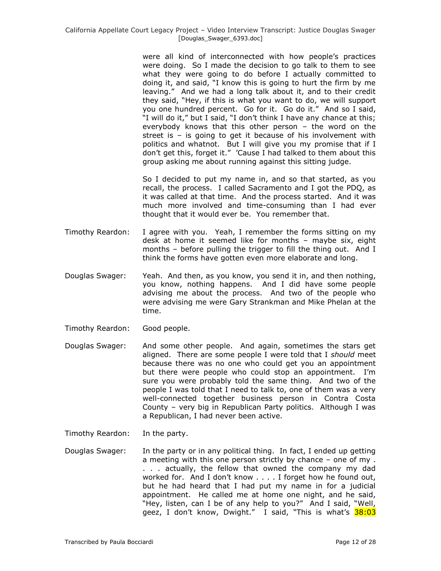were all kind of interconnected with how people"s practices were doing. So I made the decision to go talk to them to see what they were going to do before I actually committed to doing it, and said, "I know this is going to hurt the firm by me leaving." And we had a long talk about it, and to their credit they said, "Hey, if this is what you want to do, we will support you one hundred percent. Go for it. Go do it." And so I said, "I will do it," but I said, "I don't think I have any chance at this; everybody knows that this other person – the word on the street is – is going to get it because of his involvement with politics and whatnot. But I will give you my promise that if I don"t get this, forget it." "Cause I had talked to them about this group asking me about running against this sitting judge.

So I decided to put my name in, and so that started, as you recall, the process. I called Sacramento and I got the PDQ, as it was called at that time. And the process started. And it was much more involved and time-consuming than I had ever thought that it would ever be. You remember that.

- Timothy Reardon: I agree with you. Yeah, I remember the forms sitting on my desk at home it seemed like for months – maybe six, eight months – before pulling the trigger to fill the thing out. And I think the forms have gotten even more elaborate and long.
- Douglas Swager: Yeah. And then, as you know, you send it in, and then nothing, you know, nothing happens. And I did have some people advising me about the process. And two of the people who were advising me were Gary Strankman and Mike Phelan at the time.
- Timothy Reardon: Good people.
- Douglas Swager: And some other people. And again, sometimes the stars get aligned. There are some people I were told that I *should* meet because there was no one who could get you an appointment but there were people who could stop an appointment. I"m sure you were probably told the same thing. And two of the people I was told that I need to talk to, one of them was a very well-connected together business person in Contra Costa County – very big in Republican Party politics. Although I was a Republican, I had never been active.
- Timothy Reardon: In the party.
- Douglas Swager: In the party or in any political thing. In fact, I ended up getting a meeting with this one person strictly by chance – one of my . . . . actually, the fellow that owned the company my dad worked for. And I don"t know . . . . I forget how he found out, but he had heard that I had put my name in for a judicial appointment. He called me at home one night, and he said, "Hey, listen, can I be of any help to you?" And I said, "Well, geez, I don't know, Dwight." I said, "This is what's 38:03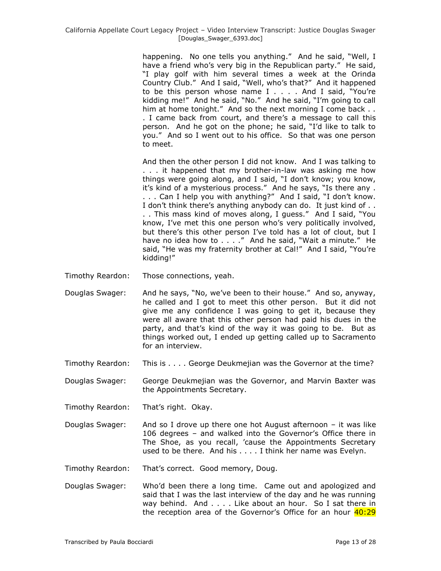happening. No one tells you anything." And he said, "Well, I have a friend who's very big in the Republican party." He said, "I play golf with him several times a week at the Orinda Country Club." And I said, "Well, who"s that?" And it happened to be this person whose name I . . . . And I said, "You"re kidding me!" And he said, "No." And he said, "I"m going to call him at home tonight." And so the next morning I come back . . . I came back from court, and there"s a message to call this person. And he got on the phone; he said, "I"d like to talk to you." And so I went out to his office. So that was one person to meet.

And then the other person I did not know. And I was talking to . . . it happened that my brother-in-law was asking me how things were going along, and I said, "I don"t know; you know, it's kind of a mysterious process." And he says, "Is there any . . . . Can I help you with anything?" And I said, "I don"t know. I don't think there's anything anybody can do. It just kind of ... . . This mass kind of moves along, I guess." And I said, "You know, I've met this one person who's very politically involved, but there"s this other person I"ve told has a lot of clout, but I have no idea how to . . . ." And he said, "Wait a minute." He said, "He was my fraternity brother at Cal!" And I said, "You"re kidding!"

- Timothy Reardon: Those connections, yeah.
- Douglas Swager: And he says, "No, we"ve been to their house." And so, anyway, he called and I got to meet this other person. But it did not give me any confidence I was going to get it, because they were all aware that this other person had paid his dues in the party, and that's kind of the way it was going to be. But as things worked out, I ended up getting called up to Sacramento for an interview.
- Timothy Reardon: This is . . . . George Deukmejian was the Governor at the time?

Douglas Swager: George Deukmejian was the Governor, and Marvin Baxter was the Appointments Secretary.

- Timothy Reardon: That"s right. Okay.
- Douglas Swager: And so I drove up there one hot August afternoon it was like 106 degrees – and walked into the Governor"s Office there in The Shoe, as you recall, "cause the Appointments Secretary used to be there. And his . . . . I think her name was Evelyn.
- Timothy Reardon: That"s correct. Good memory, Doug.
- Douglas Swager: Who"d been there a long time. Came out and apologized and said that I was the last interview of the day and he was running way behind. And . . . . Like about an hour. So I sat there in the reception area of the Governor's Office for an hour 40:29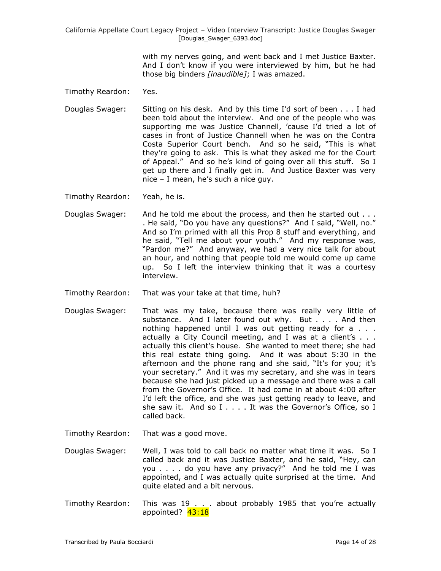> with my nerves going, and went back and I met Justice Baxter. And I don"t know if you were interviewed by him, but he had those big binders *[inaudible]*; I was amazed.

Timothy Reardon: Yes.

Douglas Swager: Sitting on his desk. And by this time I"d sort of been . . . I had been told about the interview. And one of the people who was supporting me was Justice Channell, 'cause I'd tried a lot of cases in front of Justice Channell when he was on the Contra Costa Superior Court bench. And so he said, "This is what they"re going to ask. This is what they asked me for the Court of Appeal." And so he"s kind of going over all this stuff. So I get up there and I finally get in. And Justice Baxter was very  $nice - I$  mean, he's such a nice guy.

Timothy Reardon: Yeah, he is.

- Douglas Swager: And he told me about the process, and then he started out . . . . He said, "Do you have any questions?" And I said, "Well, no." And so I"m primed with all this Prop 8 stuff and everything, and he said, "Tell me about your youth." And my response was, "Pardon me?" And anyway, we had a very nice talk for about an hour, and nothing that people told me would come up came up. So I left the interview thinking that it was a courtesy interview.
- Timothy Reardon: That was your take at that time, huh?
- Douglas Swager: That was my take, because there was really very little of substance. And I later found out why. But . . . . And then nothing happened until I was out getting ready for a . . . actually a City Council meeting, and I was at a client's . . . actually this client's house. She wanted to meet there; she had this real estate thing going. And it was about 5:30 in the afternoon and the phone rang and she said, "It's for you; it's your secretary." And it was my secretary, and she was in tears because she had just picked up a message and there was a call from the Governor's Office. It had come in at about 4:00 after I'd left the office, and she was just getting ready to leave, and she saw it. And so I . . . . It was the Governor's Office, so I called back.
- Timothy Reardon: That was a good move.
- Douglas Swager: Well, I was told to call back no matter what time it was. So I called back and it was Justice Baxter, and he said, "Hey, can you . . . . do you have any privacy?" And he told me I was appointed, and I was actually quite surprised at the time. And quite elated and a bit nervous.
- Timothy Reardon: This was 19 . . . about probably 1985 that you"re actually appointed? 43:18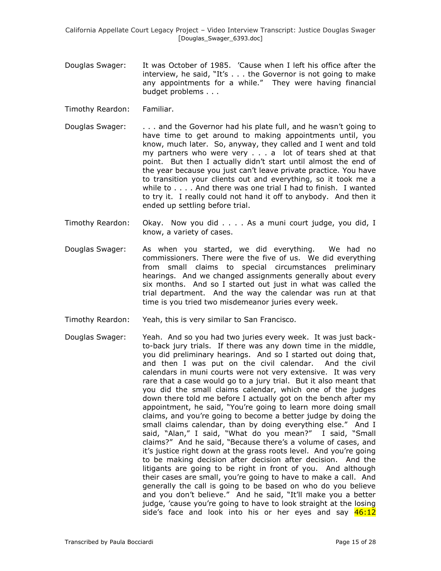- Douglas Swager: It was October of 1985. "Cause when I left his office after the interview, he said, "It"s . . . the Governor is not going to make any appointments for a while." They were having financial budget problems . . .
- Timothy Reardon: Familiar.
- Douglas Swager: . . . . and the Governor had his plate full, and he wasn't going to have time to get around to making appointments until, you know, much later. So, anyway, they called and I went and told my partners who were very . . . a lot of tears shed at that point. But then I actually didn"t start until almost the end of the year because you just can't leave private practice. You have to transition your clients out and everything, so it took me a while to . . . . And there was one trial I had to finish. I wanted to try it. I really could not hand it off to anybody. And then it ended up settling before trial.
- Timothy Reardon: Okay. Now you did . . . . As a muni court judge, you did, I know, a variety of cases.
- Douglas Swager: As when you started, we did everything. We had no commissioners. There were the five of us. We did everything from small claims to special circumstances preliminary hearings. And we changed assignments generally about every six months. And so I started out just in what was called the trial department. And the way the calendar was run at that time is you tried two misdemeanor juries every week.
- Timothy Reardon: Yeah, this is very similar to San Francisco.
- Douglas Swager: Yeah. And so you had two juries every week. It was just backto-back jury trials. If there was any down time in the middle, you did preliminary hearings. And so I started out doing that, and then I was put on the civil calendar. And the civil calendars in muni courts were not very extensive. It was very rare that a case would go to a jury trial. But it also meant that you did the small claims calendar, which one of the judges down there told me before I actually got on the bench after my appointment, he said, "You"re going to learn more doing small claims, and you"re going to become a better judge by doing the small claims calendar, than by doing everything else." And I said, "Alan," I said, "What do you mean?" I said, "Small claims?" And he said, "Because there"s a volume of cases, and it's justice right down at the grass roots level. And you're going to be making decision after decision after decision. And the litigants are going to be right in front of you. And although their cases are small, you"re going to have to make a call. And generally the call is going to be based on who do you believe and you don't believe." And he said, "It'll make you a better judge, 'cause you're going to have to look straight at the losing side's face and look into his or her eyes and say  $46:12$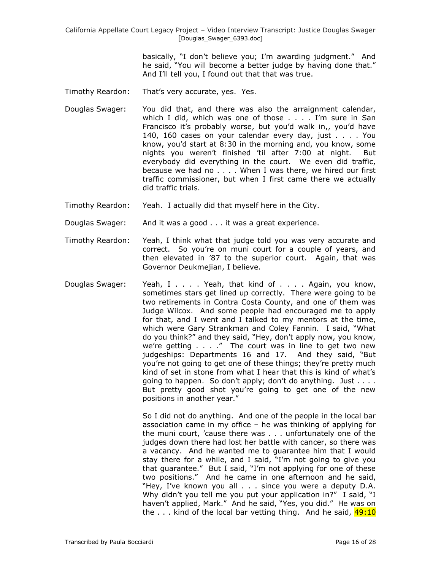> basically, "I don"t believe you; I"m awarding judgment." And he said, "You will become a better judge by having done that." And I"ll tell you, I found out that that was true.

- Timothy Reardon: That's very accurate, yes. Yes.
- Douglas Swager: You did that, and there was also the arraignment calendar, which I did, which was one of those . . . . I'm sure in San Francisco it's probably worse, but you'd walk in,, you'd have 140, 160 cases on your calendar every day, just . . . . You know, you"d start at 8:30 in the morning and, you know, some nights you weren"t finished "til after 7:00 at night. But everybody did everything in the court. We even did traffic, because we had no . . . . When I was there, we hired our first traffic commissioner, but when I first came there we actually did traffic trials.
- Timothy Reardon: Yeah. I actually did that myself here in the City.
- Douglas Swager: And it was a good . . . it was a great experience.
- Timothy Reardon: Yeah, I think what that judge told you was very accurate and correct. So you"re on muni court for a couple of years, and then elevated in "87 to the superior court. Again, that was Governor Deukmejian, I believe.
- Douglas Swager: Yeah, I . . . Yeah, that kind of . . . . Again, you know, sometimes stars get lined up correctly. There were going to be two retirements in Contra Costa County, and one of them was Judge Wilcox. And some people had encouraged me to apply for that, and I went and I talked to my mentors at the time, which were Gary Strankman and Coley Fannin. I said, "What do you think?" and they said, "Hey, don"t apply now, you know, we're getting  $\ldots$  ." The court was in line to get two new judgeships: Departments 16 and 17. And they said, "But you"re not going to get one of these things; they"re pretty much kind of set in stone from what I hear that this is kind of what"s going to happen. So don't apply; don't do anything. Just . . . . But pretty good shot you"re going to get one of the new positions in another year."

So I did not do anything. And one of the people in the local bar association came in my office – he was thinking of applying for the muni court, "cause there was . . . unfortunately one of the judges down there had lost her battle with cancer, so there was a vacancy. And he wanted me to guarantee him that I would stay there for a while, and I said, "I"m not going to give you that guarantee." But I said, "I"m not applying for one of these two positions." And he came in one afternoon and he said, "Hey, I've known you all . . . since you were a deputy D.A. Why didn't you tell me you put your application in?" I said, "I haven't applied, Mark." And he said, "Yes, you did." He was on the  $\ldots$  kind of the local bar vetting thing. And he said,  $49:10$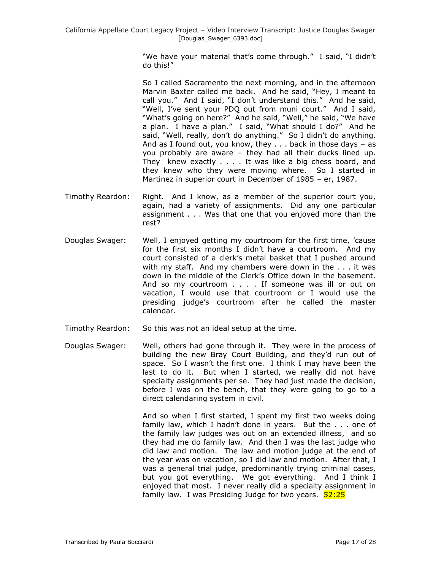"We have your material that's come through." I said, "I didn't do this!"

So I called Sacramento the next morning, and in the afternoon Marvin Baxter called me back. And he said, "Hey, I meant to call you." And I said, "I don"t understand this." And he said, "Well, I've sent your PDQ out from muni court." And I said, "What's going on here?" And he said, "Well," he said, "We have a plan. I have a plan." I said, "What should I do?" And he said, "Well, really, don't do anything." So I didn't do anything. And as I found out, you know, they  $\dots$  back in those days  $-$  as you probably are aware – they had all their ducks lined up. They knew exactly . . . . It was like a big chess board, and they knew who they were moving where. So I started in Martinez in superior court in December of 1985 – er, 1987.

- Timothy Reardon: Right. And I know, as a member of the superior court you, again, had a variety of assignments. Did any one particular assignment . . . Was that one that you enjoyed more than the rest?
- Douglas Swager: Well, I enjoyed getting my courtroom for the first time, "cause for the first six months I didn"t have a courtroom. And my court consisted of a clerk"s metal basket that I pushed around with my staff. And my chambers were down in the . . . it was down in the middle of the Clerk"s Office down in the basement. And so my courtroom . . . . If someone was ill or out on vacation, I would use that courtroom or I would use the presiding judge"s courtroom after he called the master calendar.
- Timothy Reardon: So this was not an ideal setup at the time.
- Douglas Swager: Well, others had gone through it. They were in the process of building the new Bray Court Building, and they"d run out of space. So I wasn"t the first one. I think I may have been the last to do it. But when I started, we really did not have specialty assignments per se. They had just made the decision, before I was on the bench, that they were going to go to a direct calendaring system in civil.

And so when I first started, I spent my first two weeks doing family law, which I hadn"t done in years. But the . . . one of the family law judges was out on an extended illness, and so they had me do family law. And then I was the last judge who did law and motion. The law and motion judge at the end of the year was on vacation, so I did law and motion. After that, I was a general trial judge, predominantly trying criminal cases, but you got everything. We got everything. And I think I enjoyed that most. I never really did a specialty assignment in family law. I was Presiding Judge for two years. 52:25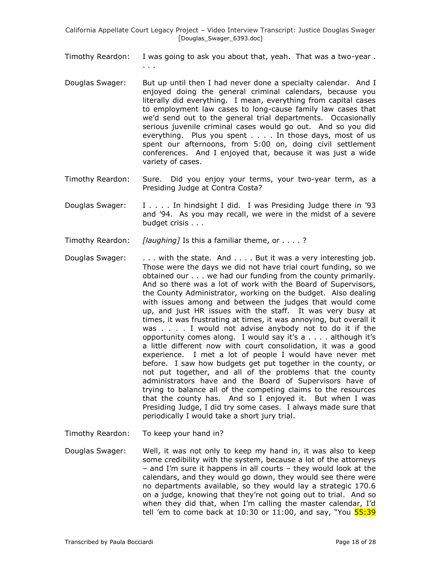Timothy Reardon: I was going to ask you about that, yeah. That was a two-year . . . .

- Douglas Swager: But up until then I had never done a specialty calendar. And I enjoyed doing the general criminal calendars, because you literally did everything. I mean, everything from capital cases to employment law cases to long-cause family law cases that we"d send out to the general trial departments. Occasionally serious juvenile criminal cases would go out. And so you did everything. Plus you spent . . . . In those days, most of us spent our afternoons, from 5:00 on, doing civil settlement conferences. And I enjoyed that, because it was just a wide variety of cases.
- Timothy Reardon: Sure. Did you enjoy your terms, your two-year term, as a Presiding Judge at Contra Costa?
- Douglas Swager: I . . . . In hindsight I did. I was Presiding Judge there in "93 and "94. As you may recall, we were in the midst of a severe budget crisis . . .

Timothy Reardon: *[laughing]* Is this a familiar theme, or . . . . ?

- Douglas Swager: . . . . with the state. And . . . . But it was a very interesting job. Those were the days we did not have trial court funding, so we obtained our . . . we had our funding from the county primarily. And so there was a lot of work with the Board of Supervisors, the County Administrator, working on the budget. Also dealing with issues among and between the judges that would come up, and just HR issues with the staff. It was very busy at times, it was frustrating at times, it was annoying, but overall it was . . . . I would not advise anybody not to do it if the opportunity comes along. I would say it's  $a \ldots a$  although it's a little different now with court consolidation, it was a good experience. I met a lot of people I would have never met before. I saw how budgets get put together in the county, or not put together, and all of the problems that the county administrators have and the Board of Supervisors have of trying to balance all of the competing claims to the resources that the county has. And so I enjoyed it. But when I was Presiding Judge, I did try some cases. I always made sure that periodically I would take a short jury trial.
- Timothy Reardon: To keep your hand in?
- Douglas Swager: Well, it was not only to keep my hand in, it was also to keep some credibility with the system, because a lot of the attorneys – and I"m sure it happens in all courts – they would look at the calendars, and they would go down, they would see there were no departments available, so they would lay a strategic 170.6 on a judge, knowing that they"re not going out to trial. And so when they did that, when I'm calling the master calendar, I'd tell 'em to come back at 10:30 or 11:00, and say, "You 55:39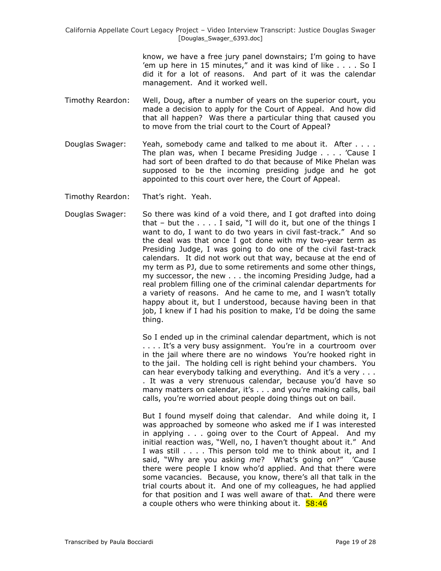> know, we have a free jury panel downstairs; I"m going to have 'em up here in 15 minutes," and it was kind of like  $\dots$  . So I did it for a lot of reasons. And part of it was the calendar management. And it worked well.

- Timothy Reardon: Well, Doug, after a number of years on the superior court, you made a decision to apply for the Court of Appeal. And how did that all happen? Was there a particular thing that caused you to move from the trial court to the Court of Appeal?
- Douglas Swager: Yeah, somebody came and talked to me about it. After . . . . The plan was, when I became Presiding Judge . . . . "Cause I had sort of been drafted to do that because of Mike Phelan was supposed to be the incoming presiding judge and he got appointed to this court over here, the Court of Appeal.
- Timothy Reardon: That"s right. Yeah.
- Douglas Swager: So there was kind of a void there, and I got drafted into doing that – but the . . . . I said, "I will do it, but one of the things I want to do, I want to do two years in civil fast-track." And so the deal was that once I got done with my two-year term as Presiding Judge, I was going to do one of the civil fast-track calendars. It did not work out that way, because at the end of my term as PJ, due to some retirements and some other things, my successor, the new . . . the incoming Presiding Judge, had a real problem filling one of the criminal calendar departments for a variety of reasons. And he came to me, and I wasn't totally happy about it, but I understood, because having been in that job, I knew if I had his position to make, I'd be doing the same thing.

So I ended up in the criminal calendar department, which is not .... It's a very busy assignment. You're in a courtroom over in the jail where there are no windows You"re hooked right in to the jail. The holding cell is right behind your chambers. You can hear everybody talking and everything. And it's a very . . . . It was a very strenuous calendar, because you"d have so many matters on calendar, it's . . . and you're making calls, bail calls, you"re worried about people doing things out on bail.

But I found myself doing that calendar. And while doing it, I was approached by someone who asked me if I was interested in applying . . . going over to the Court of Appeal. And my initial reaction was, "Well, no, I haven't thought about it." And I was still . . . . This person told me to think about it, and I said, "Why are you asking me? What's going on?" 'Cause there were people I know who"d applied. And that there were some vacancies. Because, you know, there's all that talk in the trial courts about it. And one of my colleagues, he had applied for that position and I was well aware of that. And there were a couple others who were thinking about it. 58:46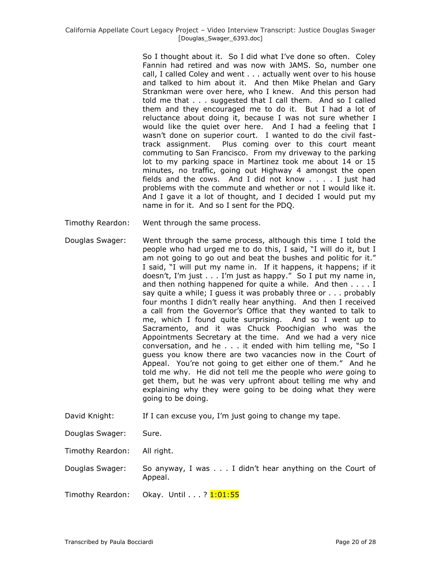So I thought about it. So I did what I"ve done so often. Coley Fannin had retired and was now with JAMS. So, number one call, I called Coley and went . . . actually went over to his house and talked to him about it. And then Mike Phelan and Gary Strankman were over here, who I knew. And this person had told me that . . . suggested that I call them. And so I called them and they encouraged me to do it. But I had a lot of reluctance about doing it, because I was not sure whether I would like the quiet over here. And I had a feeling that I wasn"t done on superior court. I wanted to do the civil fasttrack assignment. Plus coming over to this court meant commuting to San Francisco. From my driveway to the parking lot to my parking space in Martinez took me about 14 or 15 minutes, no traffic, going out Highway 4 amongst the open fields and the cows. And I did not know . . . . I just had problems with the commute and whether or not I would like it. And I gave it a lot of thought, and I decided I would put my name in for it. And so I sent for the PDQ.

- Timothy Reardon: Went through the same process.
- Douglas Swager: Went through the same process, although this time I told the people who had urged me to do this, I said, "I will do it, but I am not going to go out and beat the bushes and politic for it." I said, "I will put my name in. If it happens, it happens; if it doesn't, I'm just  $\dots$  I'm just as happy." So I put my name in, and then nothing happened for quite a while. And then . . . . I say quite a while; I guess it was probably three or . . . probably four months I didn"t really hear anything. And then I received a call from the Governor"s Office that they wanted to talk to me, which I found quite surprising. And so I went up to Sacramento, and it was Chuck Poochigian who was the Appointments Secretary at the time. And we had a very nice conversation, and he . . . it ended with him telling me, "So I guess you know there are two vacancies now in the Court of Appeal. You"re not going to get either one of them." And he told me why. He did not tell me the people who *were* going to get them, but he was very upfront about telling me why and explaining why they were going to be doing what they were going to be doing.
- David Knight: If I can excuse you, I'm just going to change my tape.
- Douglas Swager: Sure.
- Timothy Reardon: All right.

Douglas Swager: So anyway, I was . . . I didn"t hear anything on the Court of Appeal.

Timothy Reardon: Okay. Until . . . ? 1:01:55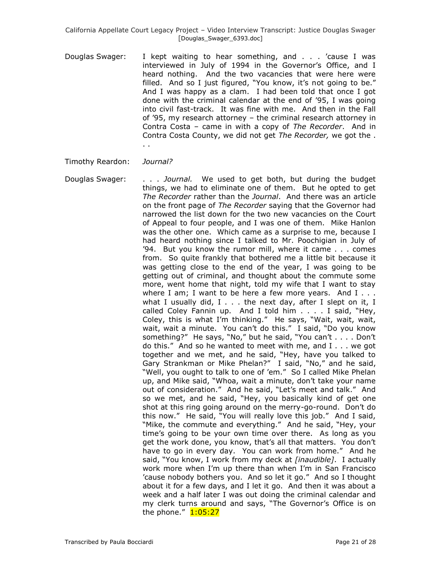Douglas Swager: I kept waiting to hear something, and . . . "cause I was interviewed in July of 1994 in the Governor's Office, and I heard nothing. And the two vacancies that were here were filled. And so I just figured, "You know, it's not going to be." And I was happy as a clam. I had been told that once I got done with the criminal calendar at the end of "95, I was going into civil fast-track. It was fine with me. And then in the Fall of "95, my research attorney – the criminal research attorney in Contra Costa – came in with a copy of *The Recorder*. And in Contra Costa County, we did not get *The Recorder,* we got the . . .

## Timothy Reardon: *Journal?*

Douglas Swager: . . . *Journal.* We used to get both, but during the budget things, we had to eliminate one of them. But he opted to get *The Recorder* rather than the *Journal*. And there was an article on the front page of *The Recorder* saying that the Governor had narrowed the list down for the two new vacancies on the Court of Appeal to four people, and I was one of them. Mike Hanlon was the other one. Which came as a surprise to me, because I had heard nothing since I talked to Mr. Poochigian in July of "94. But you know the rumor mill, where it came . . . comes from. So quite frankly that bothered me a little bit because it was getting close to the end of the year, I was going to be getting out of criminal, and thought about the commute some more, went home that night, told my wife that I want to stay where I am; I want to be here a few more years. And  $I \ldots$ what I usually did,  $I \ldots$  the next day, after I slept on it, I called Coley Fannin up. And I told him . . . . I said, "Hey, Coley, this is what I"m thinking." He says, "Wait, wait, wait, wait, wait a minute. You can't do this." I said, "Do you know something?" He says, "No," but he said, "You can't . . . . Don't do this." And so he wanted to meet with me, and I . . . we got together and we met, and he said, "Hey, have you talked to Gary Strankman or Mike Phelan?" I said, "No," and he said, "Well, you ought to talk to one of "em." So I called Mike Phelan up, and Mike said, "Whoa, wait a minute, don't take your name out of consideration." And he said, "Let's meet and talk." And so we met, and he said, "Hey, you basically kind of get one shot at this ring going around on the merry-go-round. Don"t do this now." He said, "You will really love this job." And I said, "Mike, the commute and everything." And he said, "Hey, your time"s going to be your own time over there. As long as you get the work done, you know, that's all that matters. You don't have to go in every day. You can work from home." And he said, "You know, I work from my deck at *[inaudible]*. I actually work more when I"m up there than when I"m in San Francisco "cause nobody bothers you. And so let it go." And so I thought about it for a few days, and I let it go. And then it was about a week and a half later I was out doing the criminal calendar and my clerk turns around and says, "The Governor's Office is on the phone. $''$   $1:05:27$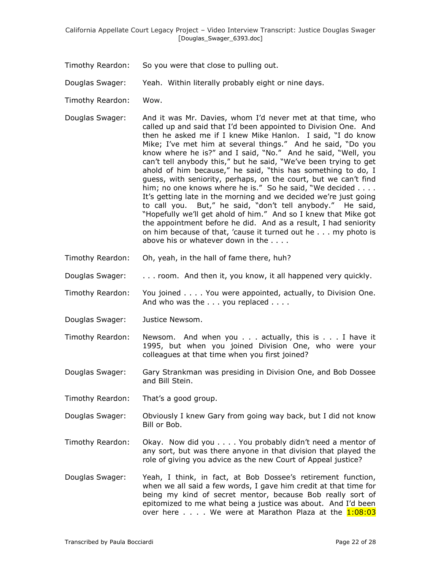Timothy Reardon: So you were that close to pulling out.

Douglas Swager: Yeah. Within literally probably eight or nine days.

- Timothy Reardon: Wow.
- Douglas Swager: And it was Mr. Davies, whom I"d never met at that time, who called up and said that I"d been appointed to Division One. And then he asked me if I knew Mike Hanlon. I said, "I do know Mike; I"ve met him at several things." And he said, "Do you know where he is?" and I said, "No." And he said, "Well, you can"t tell anybody this," but he said, "We"ve been trying to get ahold of him because," he said, "this has something to do, I guess, with seniority, perhaps, on the court, but we can't find him; no one knows where he is." So he said, "We decided . . . . It's getting late in the morning and we decided we're just going to call you. But," he said, "don"t tell anybody." He said, "Hopefully we"ll get ahold of him." And so I knew that Mike got the appointment before he did. And as a result, I had seniority on him because of that, "cause it turned out he . . . my photo is above his or whatever down in the . . . .
- Timothy Reardon: Oh, yeah, in the hall of fame there, huh?
- Douglas Swager: . . . room. And then it, you know, it all happened very quickly.
- Timothy Reardon: You joined . . . . You were appointed, actually, to Division One. And who was the . . . you replaced . . . .
- Douglas Swager: Justice Newsom.
- Timothy Reardon: Newsom. And when you . . . actually, this is . . . I have it 1995, but when you joined Division One, who were your colleagues at that time when you first joined?
- Douglas Swager: Gary Strankman was presiding in Division One, and Bob Dossee and Bill Stein.
- Timothy Reardon: That's a good group.
- Douglas Swager: Obviously I knew Gary from going way back, but I did not know Bill or Bob.
- Timothy Reardon: Okay. Now did you . . . . You probably didn"t need a mentor of any sort, but was there anyone in that division that played the role of giving you advice as the new Court of Appeal justice?
- Douglas Swager: Yeah, I think, in fact, at Bob Dossee"s retirement function, when we all said a few words, I gave him credit at that time for being my kind of secret mentor, because Bob really sort of epitomized to me what being a justice was about. And I"d been over here  $\ldots$  . We were at Marathon Plaza at the  $1:08:03$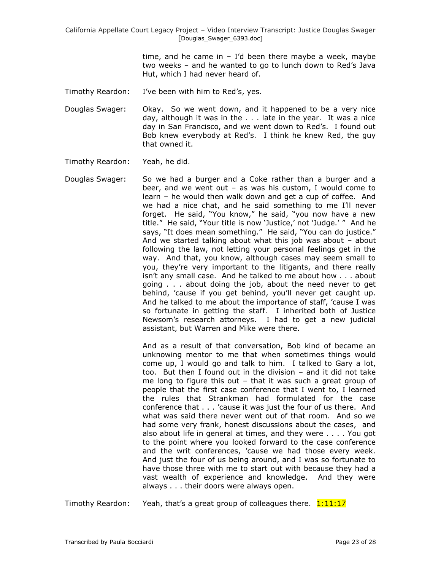> time, and he came in  $-$  I'd been there maybe a week, maybe two weeks – and he wanted to go to lunch down to Red"s Java Hut, which I had never heard of.

Timothy Reardon: I've been with him to Red's, yes.

Douglas Swager: Okay. So we went down, and it happened to be a very nice day, although it was in the . . . late in the year. It was a nice day in San Francisco, and we went down to Red's. I found out Bob knew everybody at Red's. I think he knew Red, the guy that owned it.

- Timothy Reardon: Yeah, he did.
- Douglas Swager: So we had a burger and a Coke rather than a burger and a beer, and we went out – as was his custom, I would come to learn – he would then walk down and get a cup of coffee. And we had a nice chat, and he said something to me I"ll never forget. He said, "You know," he said, "you now have a new title." He said, "Your title is now "Justice," not "Judge." " And he says, "It does mean something." He said, "You can do justice." And we started talking about what this job was about – about following the law, not letting your personal feelings get in the way. And that, you know, although cases may seem small to you, they"re very important to the litigants, and there really isn"t any small case. And he talked to me about how . . . about going . . . about doing the job, about the need never to get behind, "cause if you get behind, you"ll never get caught up. And he talked to me about the importance of staff, "cause I was so fortunate in getting the staff. I inherited both of Justice Newsom"s research attorneys. I had to get a new judicial assistant, but Warren and Mike were there.

And as a result of that conversation, Bob kind of became an unknowing mentor to me that when sometimes things would come up, I would go and talk to him. I talked to Gary a lot, too. But then I found out in the division – and it did not take me long to figure this out – that it was such a great group of people that the first case conference that I went to, I learned the rules that Strankman had formulated for the case conference that . . . "cause it was just the four of us there. And what was said there never went out of that room. And so we had some very frank, honest discussions about the cases, and also about life in general at times, and they were . . . . You got to the point where you looked forward to the case conference and the writ conferences, "cause we had those every week. And just the four of us being around, and I was so fortunate to have those three with me to start out with because they had a vast wealth of experience and knowledge. And they were always . . . their doors were always open.

Timothy Reardon: Yeah, that's a great group of colleagues there.  $1:11:17$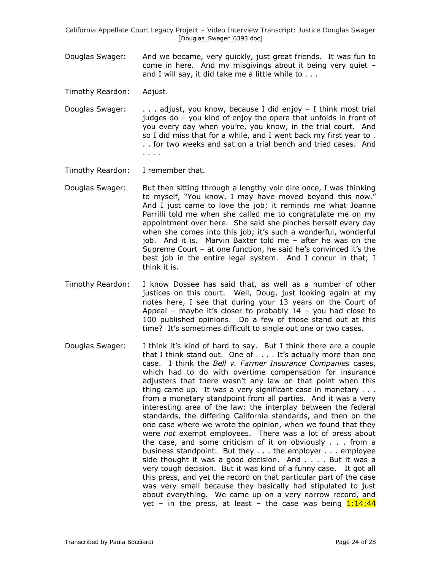Douglas Swager: And we became, very quickly, just great friends. It was fun to come in here. And my misgivings about it being very quiet – and I will say, it did take me a little while to . . .

Timothy Reardon: Adjust.

- Douglas Swager: . . . adjust, you know, because I did enjoy I think most trial judges do – you kind of enjoy the opera that unfolds in front of you every day when you"re, you know, in the trial court. And so I did miss that for a while, and I went back my first year to . . . for two weeks and sat on a trial bench and tried cases. And . . . .
- Timothy Reardon: I remember that.
- Douglas Swager: But then sitting through a lengthy voir dire once, I was thinking to myself, "You know, I may have moved beyond this now." And I just came to love the job; it reminds me what Joanne Parrilli told me when she called me to congratulate me on my appointment over here. She said she pinches herself every day when she comes into this job; it's such a wonderful, wonderful job. And it is. Marvin Baxter told me – after he was on the Supreme Court – at one function, he said he's convinced it's the best job in the entire legal system. And I concur in that; I think it is.
- Timothy Reardon: I know Dossee has said that, as well as a number of other justices on this court. Well, Doug, just looking again at my notes here, I see that during your 13 years on the Court of Appeal – maybe it's closer to probably  $14$  – you had close to 100 published opinions. Do a few of those stand out at this time? It's sometimes difficult to single out one or two cases.
- Douglas Swager: I think it"s kind of hard to say. But I think there are a couple that I think stand out. One of . . . . It's actually more than one case. I think the *Bell v. Farmer Insurance Companies* cases, which had to do with overtime compensation for insurance adjusters that there wasn't any law on that point when this thing came up. It was a very significant case in monetary . . . from a monetary standpoint from all parties. And it was a very interesting area of the law: the interplay between the federal standards, the differing California standards, and then on the one case where we wrote the opinion, when we found that they were *not* exempt employees. There was a lot of press about the case, and some criticism of it on obviously . . . from a business standpoint. But they . . . the employer . . . employee side thought it was a good decision. And . . . . But it was a very tough decision. But it was kind of a funny case. It got all this press, and yet the record on that particular part of the case was very small because they basically had stipulated to just about everything. We came up on a very narrow record, and yet – in the press, at least – the case was being  $1:14:44$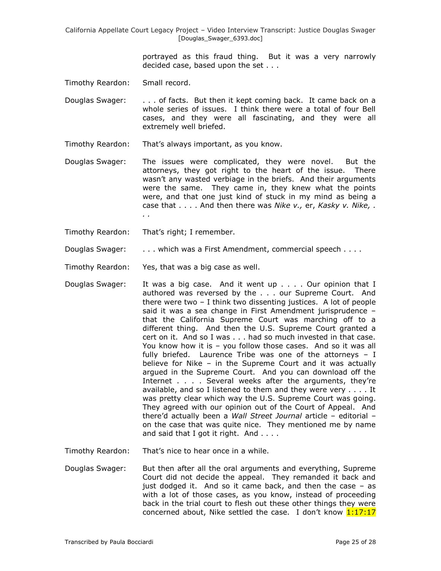> portrayed as this fraud thing. But it was a very narrowly decided case, based upon the set . . .

Timothy Reardon: Small record.

Douglas Swager: . . . of facts. But then it kept coming back. It came back on a whole series of issues. I think there were a total of four Bell cases, and they were all fascinating, and they were all extremely well briefed.

Timothy Reardon: That"s always important, as you know.

Douglas Swager: The issues were complicated, they were novel. But the attorneys, they got right to the heart of the issue. There wasn't any wasted verbiage in the briefs. And their arguments were the same. They came in, they knew what the points were, and that one just kind of stuck in my mind as being a case that . . . . And then there was *Nike v.,* er, *Kasky v. Nike, . . .* 

Timothy Reardon: That"s right; I remember.

Douglas Swager: . . . . which was a First Amendment, commercial speech . . . .

Timothy Reardon: Yes, that was a big case as well.

Douglas Swager: It was a big case. And it went up . . . . Our opinion that I authored was reversed by the . . . our Supreme Court. And there were two – I think two dissenting justices. A lot of people said it was a sea change in First Amendment jurisprudence – that the California Supreme Court was marching off to a different thing. And then the U.S. Supreme Court granted a cert on it. And so I was . . . had so much invested in that case. You know how it is – you follow those cases. And so it was all fully briefed. Laurence Tribe was one of the attorneys – I believe for Nike – in the Supreme Court and it was actually argued in the Supreme Court. And you can download off the Internet . . . . Several weeks after the arguments, they're available, and so I listened to them and they were very . . . . It was pretty clear which way the U.S. Supreme Court was going. They agreed with our opinion out of the Court of Appeal. And there"d actually been a *Wall Street Journal* article – editorial – on the case that was quite nice. They mentioned me by name and said that I got it right. And . . . .

Timothy Reardon: That"s nice to hear once in a while.

Douglas Swager: But then after all the oral arguments and everything, Supreme Court did not decide the appeal. They remanded it back and just dodged it. And so it came back, and then the case – as with a lot of those cases, as you know, instead of proceeding back in the trial court to flesh out these other things they were concerned about, Nike settled the case. I don't know  $1:17:17$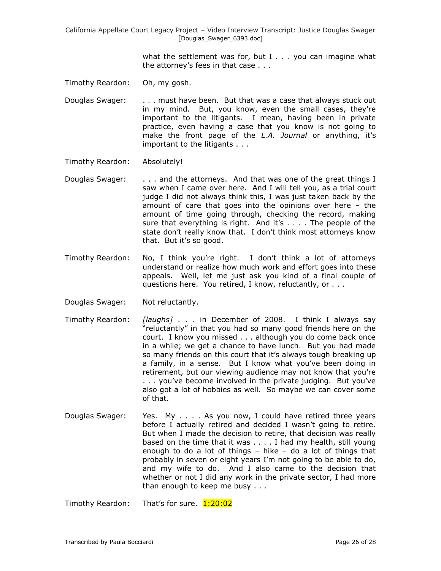> what the settlement was for, but  $I \ldots$  you can imagine what the attorney"s fees in that case . . .

- Timothy Reardon: Oh, my gosh.
- Douglas Swager: . . . must have been. But that was a case that always stuck out in my mind. But, you know, even the small cases, they"re important to the litigants. I mean, having been in private practice, even having a case that you know is not going to make the front page of the *L.A. Journal* or anything, it's important to the litigants . . .
- Timothy Reardon: Absolutely!
- Douglas Swager: . . . . and the attorneys. And that was one of the great things I saw when I came over here. And I will tell you, as a trial court judge I did not always think this, I was just taken back by the amount of care that goes into the opinions over here – the amount of time going through, checking the record, making sure that everything is right. And it's  $\dots$ . The people of the state don"t really know that. I don"t think most attorneys know that. But it's so good.
- Timothy Reardon: No, I think you"re right. I don"t think a lot of attorneys understand or realize how much work and effort goes into these appeals. Well, let me just ask you kind of a final couple of questions here. You retired, I know, reluctantly, or . . .
- Douglas Swager: Not reluctantly.
- Timothy Reardon: *[laughs]* . . . in December of 2008. I think I always say "reluctantly" in that you had so many good friends here on the court. I know you missed . . . although you do come back once in a while; we get a chance to have lunch. But you had made so many friends on this court that it's always tough breaking up a family, in a sense. But I know what you"ve been doing in retirement, but our viewing audience may not know that you're . . . you"ve become involved in the private judging. But you"ve also got a lot of hobbies as well. So maybe we can cover some of that.
- Douglas Swager: Yes. My . . . . As you now, I could have retired three years before I actually retired and decided I wasn"t going to retire. But when I made the decision to retire, that decision was really based on the time that it was . . . . I had my health, still young enough to do a lot of things – hike – do a lot of things that probably in seven or eight years I"m not going to be able to do, and my wife to do. And I also came to the decision that whether or not I did any work in the private sector, I had more than enough to keep me busy . . .

Timothy Reardon: That's for sure. 1:20:02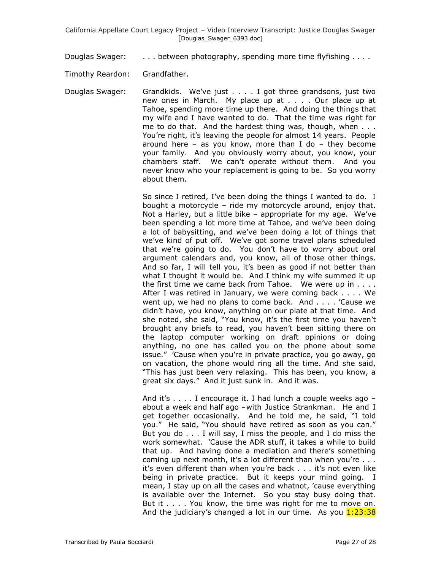Douglas Swager: . . . . between photography, spending more time flyfishing . . . .

Timothy Reardon: Grandfather.

Douglas Swager: Grandkids. We've just . . . . I got three grandsons, just two new ones in March. My place up at . . . . Our place up at Tahoe, spending more time up there. And doing the things that my wife and I have wanted to do. That the time was right for me to do that. And the hardest thing was, though, when . . . You"re right, it"s leaving the people for almost 14 years. People around here  $-$  as you know, more than I do  $-$  they become your family. And you obviously worry about, you know, your chambers staff. We can"t operate without them. And you never know who your replacement is going to be. So you worry about them.

> So since I retired, I've been doing the things I wanted to do. I bought a motorcycle – ride my motorcycle around, enjoy that. Not a Harley, but a little bike - appropriate for my age. We've been spending a lot more time at Tahoe, and we"ve been doing a lot of babysitting, and we"ve been doing a lot of things that we"ve kind of put off. We"ve got some travel plans scheduled that we"re going to do. You don"t have to worry about oral argument calendars and, you know, all of those other things. And so far, I will tell you, it's been as good if not better than what I thought it would be. And I think my wife summed it up the first time we came back from Tahoe. We were up in . . . . After I was retired in January, we were coming back . . . . We went up, we had no plans to come back. And . . . . "Cause we didn"t have, you know, anything on our plate at that time. And she noted, she said, "You know, it's the first time you haven't brought any briefs to read, you haven"t been sitting there on the laptop computer working on draft opinions or doing anything, no one has called you on the phone about some issue." "Cause when you"re in private practice, you go away, go on vacation, the phone would ring all the time. And she said, "This has just been very relaxing. This has been, you know, a great six days." And it just sunk in. And it was.

> And it's  $\dots$  . I encourage it. I had lunch a couple weeks ago  $$ about a week and half ago –with Justice Strankman. He and I get together occasionally. And he told me, he said, "I told you." He said, "You should have retired as soon as you can." But you do . . . I will say, I miss the people, and I do miss the work somewhat. "Cause the ADR stuff, it takes a while to build that up. And having done a mediation and there"s something coming up next month, it's a lot different than when you're . . . it's even different than when you're back . . . it's not even like being in private practice. But it keeps your mind going. I mean, I stay up on all the cases and whatnot, "cause everything is available over the Internet. So you stay busy doing that. But it . . . . You know, the time was right for me to move on. And the judiciary's changed a lot in our time. As you  $1:23:38$